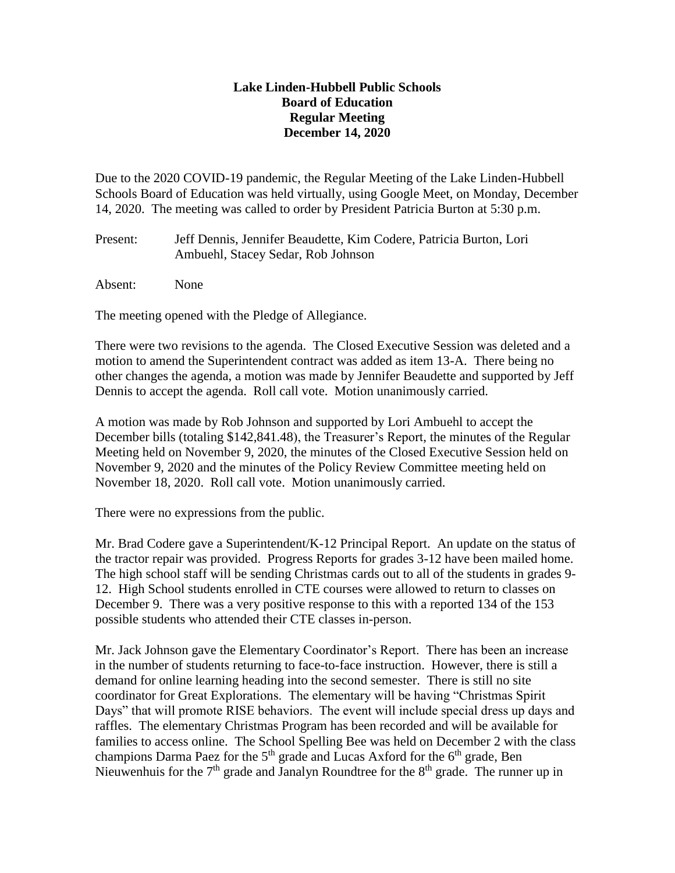## **Lake Linden-Hubbell Public Schools Board of Education Regular Meeting December 14, 2020**

Due to the 2020 COVID-19 pandemic, the Regular Meeting of the Lake Linden-Hubbell Schools Board of Education was held virtually, using Google Meet, on Monday, December 14, 2020. The meeting was called to order by President Patricia Burton at 5:30 p.m.

- Present: Jeff Dennis, Jennifer Beaudette, Kim Codere, Patricia Burton, Lori Ambuehl, Stacey Sedar, Rob Johnson
- Absent: None

The meeting opened with the Pledge of Allegiance.

There were two revisions to the agenda. The Closed Executive Session was deleted and a motion to amend the Superintendent contract was added as item 13-A. There being no other changes the agenda, a motion was made by Jennifer Beaudette and supported by Jeff Dennis to accept the agenda. Roll call vote. Motion unanimously carried.

A motion was made by Rob Johnson and supported by Lori Ambuehl to accept the December bills (totaling \$142,841.48), the Treasurer's Report, the minutes of the Regular Meeting held on November 9, 2020, the minutes of the Closed Executive Session held on November 9, 2020 and the minutes of the Policy Review Committee meeting held on November 18, 2020. Roll call vote. Motion unanimously carried.

There were no expressions from the public.

Mr. Brad Codere gave a Superintendent/K-12 Principal Report. An update on the status of the tractor repair was provided. Progress Reports for grades 3-12 have been mailed home. The high school staff will be sending Christmas cards out to all of the students in grades 9- 12. High School students enrolled in CTE courses were allowed to return to classes on December 9. There was a very positive response to this with a reported 134 of the 153 possible students who attended their CTE classes in-person.

Mr. Jack Johnson gave the Elementary Coordinator's Report. There has been an increase in the number of students returning to face-to-face instruction. However, there is still a demand for online learning heading into the second semester. There is still no site coordinator for Great Explorations. The elementary will be having "Christmas Spirit Days" that will promote RISE behaviors. The event will include special dress up days and raffles. The elementary Christmas Program has been recorded and will be available for families to access online. The School Spelling Bee was held on December 2 with the class champions Darma Paez for the  $5<sup>th</sup>$  grade and Lucas Axford for the  $6<sup>th</sup>$  grade, Ben Nieuwenhuis for the  $7<sup>th</sup>$  grade and Janalyn Roundtree for the  $8<sup>th</sup>$  grade. The runner up in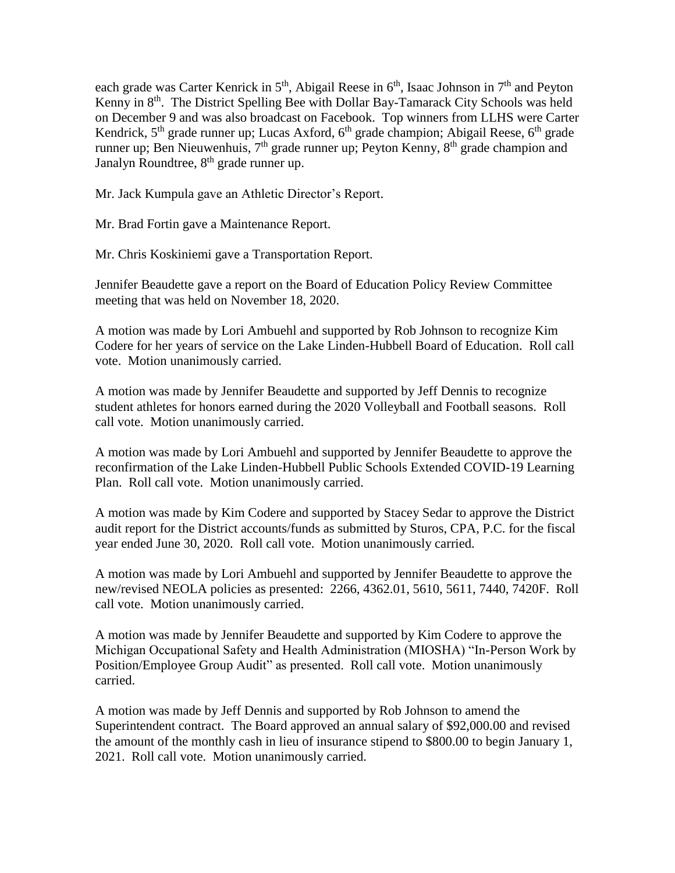each grade was Carter Kenrick in  $5<sup>th</sup>$ , Abigail Reese in  $6<sup>th</sup>$ , Isaac Johnson in  $7<sup>th</sup>$  and Peyton Kenny in 8<sup>th</sup>. The District Spelling Bee with Dollar Bay-Tamarack City Schools was held on December 9 and was also broadcast on Facebook. Top winners from LLHS were Carter Kendrick,  $5<sup>th</sup>$  grade runner up; Lucas Axford,  $6<sup>th</sup>$  grade champion; Abigail Reese,  $6<sup>th</sup>$  grade runner up; Ben Nieuwenhuis, 7<sup>th</sup> grade runner up; Peyton Kenny, 8<sup>th</sup> grade champion and Janalyn Roundtree, 8<sup>th</sup> grade runner up.

Mr. Jack Kumpula gave an Athletic Director's Report.

Mr. Brad Fortin gave a Maintenance Report.

Mr. Chris Koskiniemi gave a Transportation Report.

Jennifer Beaudette gave a report on the Board of Education Policy Review Committee meeting that was held on November 18, 2020.

A motion was made by Lori Ambuehl and supported by Rob Johnson to recognize Kim Codere for her years of service on the Lake Linden-Hubbell Board of Education. Roll call vote. Motion unanimously carried.

A motion was made by Jennifer Beaudette and supported by Jeff Dennis to recognize student athletes for honors earned during the 2020 Volleyball and Football seasons. Roll call vote. Motion unanimously carried.

A motion was made by Lori Ambuehl and supported by Jennifer Beaudette to approve the reconfirmation of the Lake Linden-Hubbell Public Schools Extended COVID-19 Learning Plan. Roll call vote. Motion unanimously carried.

A motion was made by Kim Codere and supported by Stacey Sedar to approve the District audit report for the District accounts/funds as submitted by Sturos, CPA, P.C. for the fiscal year ended June 30, 2020. Roll call vote. Motion unanimously carried.

A motion was made by Lori Ambuehl and supported by Jennifer Beaudette to approve the new/revised NEOLA policies as presented: 2266, 4362.01, 5610, 5611, 7440, 7420F. Roll call vote. Motion unanimously carried.

A motion was made by Jennifer Beaudette and supported by Kim Codere to approve the Michigan Occupational Safety and Health Administration (MIOSHA) "In-Person Work by Position/Employee Group Audit" as presented. Roll call vote. Motion unanimously carried.

A motion was made by Jeff Dennis and supported by Rob Johnson to amend the Superintendent contract. The Board approved an annual salary of \$92,000.00 and revised the amount of the monthly cash in lieu of insurance stipend to \$800.00 to begin January 1, 2021. Roll call vote. Motion unanimously carried.